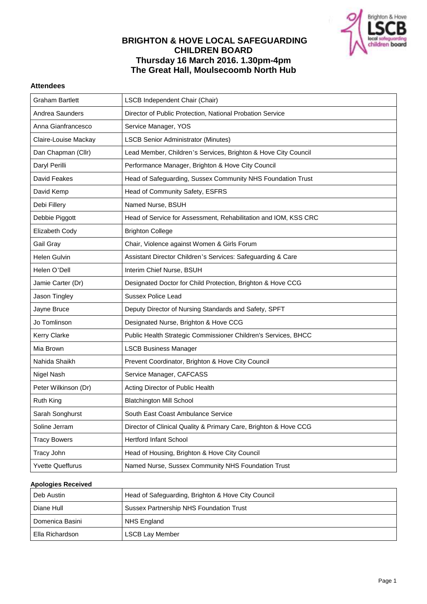

# **BRIGHTON & HOVE LOCAL SAFEGUARDING CHILDREN BOARD Thursday 16 March 2016. 1.30pm-4pm The Great Hall, Moulsecoomb North Hub**

# **Attendees**

| <b>Graham Bartlett</b>  | <b>LSCB Independent Chair (Chair)</b>                            |
|-------------------------|------------------------------------------------------------------|
| Andrea Saunders         | Director of Public Protection, National Probation Service        |
| Anna Gianfrancesco      | Service Manager, YOS                                             |
| Claire-Louise Mackay    | <b>LSCB Senior Administrator (Minutes)</b>                       |
| Dan Chapman (Cllr)      | Lead Member, Children's Services, Brighton & Hove City Council   |
| Daryl Perilli           | Performance Manager, Brighton & Hove City Council                |
| David Feakes            | Head of Safeguarding, Sussex Community NHS Foundation Trust      |
| David Kemp              | Head of Community Safety, ESFRS                                  |
| Debi Fillery            | Named Nurse, BSUH                                                |
| Debbie Piggott          | Head of Service for Assessment, Rehabilitation and IOM, KSS CRC  |
| Elizabeth Cody          | <b>Brighton College</b>                                          |
| Gail Gray               | Chair, Violence against Women & Girls Forum                      |
| Helen Gulvin            | Assistant Director Children's Services: Safeguarding & Care      |
| Helen O'Dell            | Interim Chief Nurse, BSUH                                        |
| Jamie Carter (Dr)       | Designated Doctor for Child Protection, Brighton & Hove CCG      |
| Jason Tingley           | <b>Sussex Police Lead</b>                                        |
| Jayne Bruce             | Deputy Director of Nursing Standards and Safety, SPFT            |
| Jo Tomlinson            | Designated Nurse, Brighton & Hove CCG                            |
| <b>Kerry Clarke</b>     | Public Health Strategic Commissioner Children's Services, BHCC   |
| Mia Brown               | <b>LSCB Business Manager</b>                                     |
| Nahida Shaikh           | Prevent Coordinator, Brighton & Hove City Council                |
| Nigel Nash              | Service Manager, CAFCASS                                         |
| Peter Wilkinson (Dr)    | Acting Director of Public Health                                 |
| Ruth King               | <b>Blatchington Mill School</b>                                  |
| Sarah Songhurst         | South East Coast Ambulance Service                               |
| Soline Jerram           | Director of Clinical Quality & Primary Care, Brighton & Hove CCG |
| <b>Tracy Bowers</b>     | <b>Hertford Infant School</b>                                    |
| Tracy John              | Head of Housing, Brighton & Hove City Council                    |
| <b>Yvette Queffurus</b> | Named Nurse, Sussex Community NHS Foundation Trust               |

#### **Apologies Received**

| Deb Austin      | Head of Safeguarding, Brighton & Hove City Council |
|-----------------|----------------------------------------------------|
| Diane Hull      | Sussex Partnership NHS Foundation Trust            |
| Domenica Basini | NHS England                                        |
| Ella Richardson | <b>LSCB Lay Member</b>                             |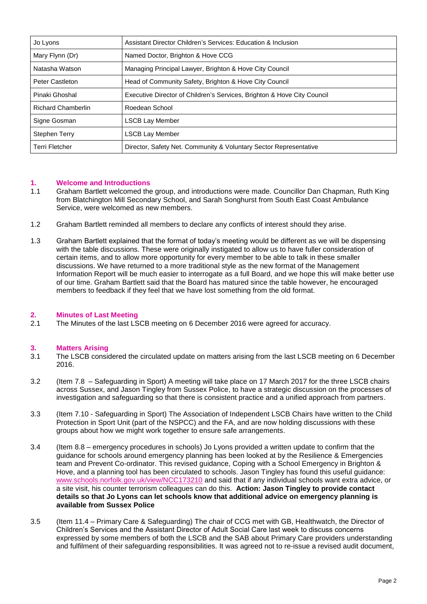| Jo Lyons                  | Assistant Director Children's Services: Education & Inclusion           |
|---------------------------|-------------------------------------------------------------------------|
| Mary Flynn (Dr)           | Named Doctor, Brighton & Hove CCG                                       |
| Natasha Watson            | Managing Principal Lawyer, Brighton & Hove City Council                 |
| <b>Peter Castleton</b>    | Head of Community Safety, Brighton & Hove City Council                  |
| Pinaki Ghoshal            | Executive Director of Children's Services, Brighton & Hove City Council |
| <b>Richard Chamberlin</b> | Roedean School                                                          |
| Signe Gosman              | LSCB Lay Member                                                         |
| Stephen Terry             | LSCB Lay Member                                                         |
| <b>Terri Fletcher</b>     | Director, Safety Net. Community & Voluntary Sector Representative       |

# **1. Welcome and Introductions**

- 1.1 Graham Bartlett welcomed the group, and introductions were made. Councillor Dan Chapman, Ruth King from Blatchington Mill Secondary School, and Sarah Songhurst from South East Coast Ambulance Service, were welcomed as new members.
- 1.2 Graham Bartlett reminded all members to declare any conflicts of interest should they arise.
- 1.3 Graham Bartlett explained that the format of today's meeting would be different as we will be dispensing with the table discussions. These were originally instigated to allow us to have fuller consideration of certain items, and to allow more opportunity for every member to be able to talk in these smaller discussions. We have returned to a more traditional style as the new format of the Management Information Report will be much easier to interrogate as a full Board, and we hope this will make better use of our time. Graham Bartlett said that the Board has matured since the table however, he encouraged members to feedback if they feel that we have lost something from the old format.

# **2. Minutes of Last Meeting**

2.1 The Minutes of the last LSCB meeting on 6 December 2016 were agreed for accuracy.

# **3. Matters Arising**

- 3.1 The LSCB considered the circulated update on matters arising from the last LSCB meeting on 6 December 2016.
- 3.2 (Item 7.8 Safeguarding in Sport) A meeting will take place on 17 March 2017 for the three LSCB chairs across Sussex, and Jason Tingley from Sussex Police, to have a strategic discussion on the processes of investigation and safeguarding so that there is consistent practice and a unified approach from partners.
- 3.3 (Item 7.10 Safeguarding in Sport) The Association of Independent LSCB Chairs have written to the Child Protection in Sport Unit (part of the NSPCC) and the FA, and are now holding discussions with these groups about how we might work together to ensure safe arrangements.
- 3.4 (Item 8.8 emergency procedures in schools) Jo Lyons provided a written update to confirm that the guidance for schools around emergency planning has been looked at by the Resilience & Emergencies team and Prevent Co-ordinator. This revised guidance, Coping with a School Emergency in Brighton & Hove, and a planning tool has been circulated to schools. Jason Tingley has found this useful guidance: [www.schools.norfolk.gov.uk/view/NCC173210](http://www.schools.norfolk.gov.uk/view/NCC173210) and said that if any individual schools want extra advice, or a site visit, his counter terrorism colleagues can do this. **Action: Jason Tingley to provide contact details so that Jo Lyons can let schools know that additional advice on emergency planning is available from Sussex Police**
- 3.5 (Item 11.4 Primary Care & Safeguarding) The chair of CCG met with GB, Healthwatch, the Director of Children's Services and the Assistant Director of Adult Social Care last week to discuss concerns expressed by some members of both the LSCB and the SAB about Primary Care providers understanding and fulfilment of their safeguarding responsibilities. It was agreed not to re-issue a revised audit document,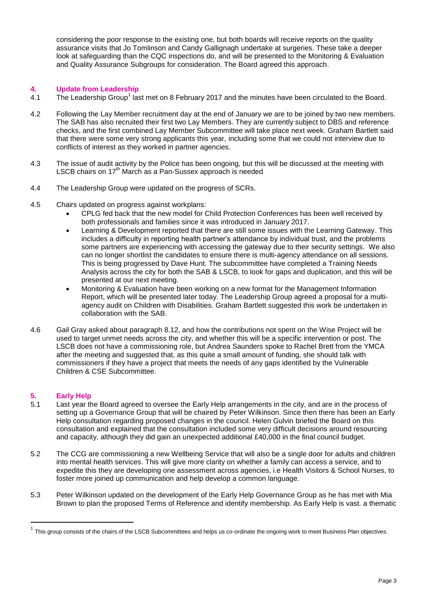considering the poor response to the existing one, but both boards will receive reports on the quality assurance visits that Jo Tomlinson and Candy Gallignagh undertake at surgeries. These take a deeper look at safeguarding than the CQC inspections do, and will be presented to the Monitoring & Evaluation and Quality Assurance Subgroups for consideration. The Board agreed this approach.

# **4. Update from Leadership**

- 4.1 The Leadership Group<sup>1</sup> last met on 8 February 2017 and the minutes have been circulated to the Board.
- 4.2 Following the Lay Member recruitment day at the end of January we are to be joined by two new members. The SAB has also recruited their first two Lay Members. They are currently subject to DBS and reference checks, and the first combined Lay Member Subcommittee will take place next week. Graham Bartlett said that there were some very strong applicants this year, including some that we could not interview due to conflicts of interest as they worked in partner agencies.
- 4.3 The issue of audit activity by the Police has been ongoing, but this will be discussed at the meeting with LSCB chairs on 17<sup>th</sup> March as a Pan-Sussex approach is needed
- 4.4 The Leadership Group were updated on the progress of SCRs.
- 4.5 Chairs updated on progress against workplans:
	- CPLG fed back that the new model for Child Protection Conferences has been well received by both professionals and families since it was introduced in January 2017.
	- Learning & Development reported that there are still some issues with the Learning Gateway. This includes a difficulty in reporting health partner's attendance by individual trust, and the problems some partners are experiencing with accessing the gateway due to their security settings. We also can no longer shortlist the candidates to ensure there is multi-agency attendance on all sessions. This is being progressed by Dave Hunt. The subcommittee have completed a Training Needs Analysis across the city for both the SAB & LSCB, to look for gaps and duplication, and this will be presented at our next meeting.
	- Monitoring & Evaluation have been working on a new format for the Management Information Report, which will be presented later today. The Leadership Group agreed a proposal for a multiagency audit on Children with Disabilities. Graham Bartlett suggested this work be undertaken in collaboration with the SAB.
- 4.6 Gail Gray asked about paragraph 8.12, and how the contributions not spent on the Wise Project will be used to target unmet needs across the city, and whether this will be a specific intervention or post. The LSCB does not have a commissioning role, but Andrea Saunders spoke to Rachel Brett from the YMCA after the meeting and suggested that, as this quite a small amount of funding, she should talk with commissioners if they have a project that meets the needs of any gaps identified by the Vulnerable Children & CSE Subcommittee.

# **5. Early Help**

 $\overline{a}$ 

- 5.1 Last year the Board agreed to oversee the Early Help arrangements in the city, and are in the process of setting up a Governance Group that will be chaired by Peter Wilkinson. Since then there has been an Early Help consultation regarding proposed changes in the council. Helen Gulvin briefed the Board on this consultation and explained that the consultation included some very difficult decisions around resourcing and capacity, although they did gain an unexpected additional £40,000 in the final council budget.
- 5.2 The CCG are commissioning a new Wellbeing Service that will also be a single door for adults and children into mental health services. This will give more clarity on whether a family can access a service, and to expedite this they are developing one assessment across agencies, i.e Health Visitors & School Nurses, to foster more joined up communication and help develop a common language.
- 5.3 Peter Wilkinson updated on the development of the Early Help Governance Group as he has met with Mia Brown to plan the proposed Terms of Reference and identify membership. As Early Help is vast. a thematic

 $^1$  This group consists of the chairs of the LSCB Subcommittees and helps us co-ordinate the ongoing work to meet Business Plan objectives.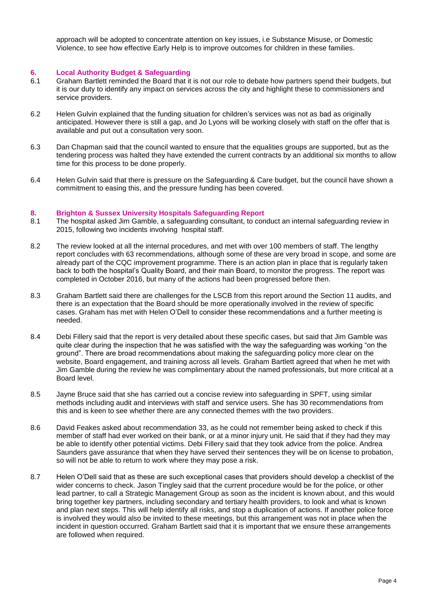approach will be adopted to concentrate attention on key issues, i.e Substance Misuse, or Domestic Violence, to see how effective Early Help is to improve outcomes for children in these families.

#### **6. Local Authority Budget & Safeguarding**

- 6.1 Graham Bartlett reminded the Board that it is not our role to debate how partners spend their budgets, but it is our duty to identify any impact on services across the city and highlight these to commissioners and service providers.
- 6.2 Helen Gulvin explained that the funding situation for children's services was not as bad as originally anticipated. However there is still a gap, and Jo Lyons will be working closely with staff on the offer that is available and put out a consultation very soon.
- 6.3 Dan Chapman said that the council wanted to ensure that the equalities groups are supported, but as the tendering process was halted they have extended the current contracts by an additional six months to allow time for this process to be done properly.
- 6.4 Helen Gulvin said that there is pressure on the Safeguarding & Care budget, but the council have shown a commitment to easing this, and the pressure funding has been covered.

#### **8. Brighton & Sussex University Hospitals Safeguarding Report**

- 8.1 The hospital asked Jim Gamble, a safeguarding consultant, to conduct an internal safeguarding review in 2015, following two incidents involving hospital staff.
- 8.2 The review looked at all the internal procedures, and met with over 100 members of staff. The lengthy report concludes with 63 recommendations, although some of these are very broad in scope, and some are already part of the CQC improvement programme. There is an action plan in place that is regularly taken back to both the hospital's Quality Board, and their main Board, to monitor the progress. The report was completed in October 2016, but many of the actions had been progressed before then.
- 8.3 Graham Bartlett said there are challenges for the LSCB from this report around the Section 11 audits, and there is an expectation that the Board should be more operationally involved in the review of specific cases. Graham has met with Helen O'Dell to consider these recommendations and a further meeting is needed.
- 8.4 Debi Fillery said that the report is very detailed about these specific cases, but said that Jim Gamble was quite clear during the inspection that he was satisfied with the way the safeguarding was working "on the ground". There are broad recommendations about making the safeguarding policy more clear on the website, Board engagement, and training across all levels. Graham Bartlett agreed that when he met with Jim Gamble during the review he was complimentary about the named professionals, but more critical at a Board level.
- 8.5 Jayne Bruce said that she has carried out a concise review into safeguarding in SPFT, using similar methods including audit and interviews with staff and service users. She has 30 recommendations from this and is keen to see whether there are any connected themes with the two providers.
- 8.6 David Feakes asked about recommendation 33, as he could not remember being asked to check if this member of staff had ever worked on their bank, or at a minor injury unit. He said that if they had they may be able to identify other potential victims. Debi Fillery said that they took advice from the police. Andrea Saunders gave assurance that when they have served their sentences they will be on license to probation, so will not be able to return to work where they may pose a risk.
- 8.7 Helen O'Dell said that as these are such exceptional cases that providers should develop a checklist of the wider concerns to check. Jason Tingley said that the current procedure would be for the police, or other lead partner, to call a Strategic Management Group as soon as the incident is known about, and this would bring together key partners, including secondary and tertiary health providers, to look and what is known and plan next steps. This will help identify all risks, and stop a duplication of actions. If another police force is involved they would also be invited to these meetings, but this arrangement was not in place when the incident in question occurred. Graham Bartlett said that it is important that we ensure these arrangements are followed when required.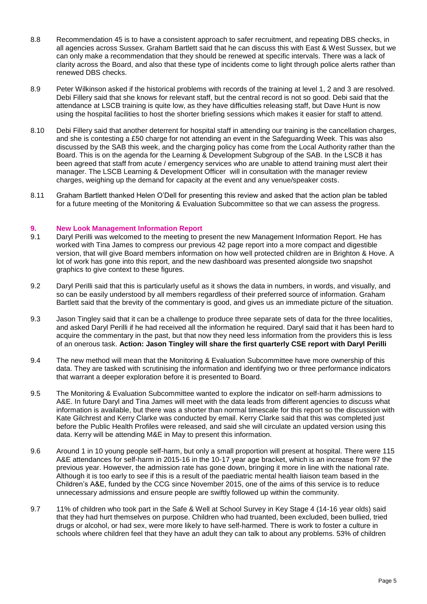- 8.8 Recommendation 45 is to have a consistent approach to safer recruitment, and repeating DBS checks, in all agencies across Sussex. Graham Bartlett said that he can discuss this with East & West Sussex, but we can only make a recommendation that they should be renewed at specific intervals. There was a lack of clarity across the Board, and also that these type of incidents come to light through police alerts rather than renewed DBS checks.
- 8.9 Peter Wilkinson asked if the historical problems with records of the training at level 1, 2 and 3 are resolved. Debi Fillery said that she knows for relevant staff, but the central record is not so good. Debi said that the attendance at LSCB training is quite low, as they have difficulties releasing staff, but Dave Hunt is now using the hospital facilities to host the shorter briefing sessions which makes it easier for staff to attend.
- 8.10 Debi Fillery said that another deterrent for hospital staff in attending our training is the cancellation charges, and she is contesting a £50 charge for not attending an event in the Safeguarding Week. This was also discussed by the SAB this week, and the charging policy has come from the Local Authority rather than the Board. This is on the agenda for the Learning & Development Subgroup of the SAB. In the LSCB it has been agreed that staff from acute / emergency services who are unable to attend training must alert their manager. The LSCB Learning & Development Officer will in consultation with the manager review charges, weighing up the demand for capacity at the event and any venue/speaker costs.
- 8.11 Graham Bartlett thanked Helen O'Dell for presenting this review and asked that the action plan be tabled for a future meeting of the Monitoring & Evaluation Subcommittee so that we can assess the progress.

#### **9. New Look Management Information Report**

- 9.1 Daryl Perilli was welcomed to the meeting to present the new Management Information Report. He has worked with Tina James to compress our previous 42 page report into a more compact and digestible version, that will give Board members information on how well protected children are in Brighton & Hove. A lot of work has gone into this report, and the new dashboard was presented alongside two snapshot graphics to give context to these figures.
- 9.2 Daryl Perilli said that this is particularly useful as it shows the data in numbers, in words, and visually, and so can be easily understood by all members regardless of their preferred source of information. Graham Bartlett said that the brevity of the commentary is good, and gives us an immediate picture of the situation.
- 9.3 Jason Tingley said that it can be a challenge to produce three separate sets of data for the three localities, and asked Daryl Perilli if he had received all the information he required. Daryl said that it has been hard to acquire the commentary in the past, but that now they need less information from the providers this is less of an onerous task. **Action: Jason Tingley will share the first quarterly CSE report with Daryl Perilli**
- 9.4 The new method will mean that the Monitoring & Evaluation Subcommittee have more ownership of this data. They are tasked with scrutinising the information and identifying two or three performance indicators that warrant a deeper exploration before it is presented to Board.
- 9.5 The Monitoring & Evaluation Subcommittee wanted to explore the indicator on self-harm admissions to A&E. In future Daryl and Tina James will meet with the data leads from different agencies to discuss what information is available, but there was a shorter than normal timescale for this report so the discussion with Kate Gilchrest and Kerry Clarke was conducted by email. Kerry Clarke said that this was completed just before the Public Health Profiles were released, and said she will circulate an updated version using this data. Kerry will be attending M&E in May to present this information.
- 9.6 Around 1 in 10 young people self-harm, but only a small proportion will present at hospital. There were 115 A&E attendances for self-harm in 2015-16 in the 10-17 year age bracket, which is an increase from 97 the previous year. However, the admission rate has gone down, bringing it more in line with the national rate. Although it is too early to see if this is a result of the paediatric mental health liaison team based in the Children's A&E, funded by the CCG since November 2015, one of the aims of this service is to reduce unnecessary admissions and ensure people are swiftly followed up within the community.
- 9.7 11% of children who took part in the Safe & Well at School Survey in Key Stage 4 (14-16 year olds) said that they had hurt themselves on purpose. Children who had truanted, been excluded, been bullied, tried drugs or alcohol, or had sex, were more likely to have self-harmed. There is work to foster a culture in schools where children feel that they have an adult they can talk to about any problems. 53% of children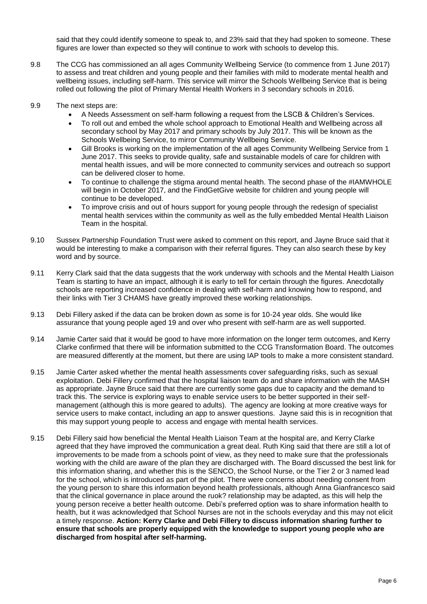said that they could identify someone to speak to, and 23% said that they had spoken to someone. These figures are lower than expected so they will continue to work with schools to develop this.

- 9.8 The CCG has commissioned an all ages Community Wellbeing Service (to commence from 1 June 2017) to assess and treat children and young people and their families with mild to moderate mental health and wellbeing issues, including self-harm. This service will mirror the Schools Wellbeing Service that is being rolled out following the pilot of Primary Mental Health Workers in 3 secondary schools in 2016.
- 9.9 The next steps are:
	- A Needs Assessment on self-harm following a request from the LSCB & Children's Services.
	- To roll out and embed the whole school approach to Emotional Health and Wellbeing across all secondary school by May 2017 and primary schools by July 2017. This will be known as the Schools Wellbeing Service, to mirror Community Wellbeing Service.
	- Gill Brooks is working on the implementation of the all ages Community Wellbeing Service from 1 June 2017. This seeks to provide quality, safe and sustainable models of care for children with mental health issues, and will be more connected to community services and outreach so support can be delivered closer to home.
	- To continue to challenge the stigma around mental health. The second phase of the #IAMWHOLE will begin in October 2017, and the FindGetGive website for children and young people will continue to be developed.
	- To improve crisis and out of hours support for young people through the redesign of specialist mental health services within the community as well as the fully embedded Mental Health Liaison Team in the hospital.
- 9.10 Sussex Partnership Foundation Trust were asked to comment on this report, and Jayne Bruce said that it would be interesting to make a comparison with their referral figures. They can also search these by key word and by source.
- 9.11 Kerry Clark said that the data suggests that the work underway with schools and the Mental Health Liaison Team is starting to have an impact, although it is early to tell for certain through the figures. Anecdotally schools are reporting increased confidence in dealing with self-harm and knowing how to respond, and their links with Tier 3 CHAMS have greatly improved these working relationships.
- 9.13 Debi Fillery asked if the data can be broken down as some is for 10-24 year olds. She would like assurance that young people aged 19 and over who present with self-harm are as well supported.
- 9.14 Jamie Carter said that it would be good to have more information on the longer term outcomes, and Kerry Clarke confirmed that there will be information submitted to the CCG Transformation Board. The outcomes are measured differently at the moment, but there are using IAP tools to make a more consistent standard.
- 9.15 Jamie Carter asked whether the mental health assessments cover safeguarding risks, such as sexual exploitation. Debi Fillery confirmed that the hospital liaison team do and share information with the MASH as appropriate. Jayne Bruce said that there are currently some gaps due to capacity and the demand to track this. The service is exploring ways to enable service users to be better supported in their selfmanagement (although this is more geared to adults). The agency are looking at more creative ways for service users to make contact, including an app to answer questions. Jayne said this is in recognition that this may support young people to access and engage with mental health services.
- 9.15 Debi Fillery said how beneficial the Mental Health Liaison Team at the hospital are, and Kerry Clarke agreed that they have improved the communication a great deal. Ruth King said that there are still a lot of improvements to be made from a schools point of view, as they need to make sure that the professionals working with the child are aware of the plan they are discharged with. The Board discussed the best link for this information sharing, and whether this is the SENCO, the School Nurse, or the Tier 2 or 3 named lead for the school, which is introduced as part of the pilot. There were concerns about needing consent from the young person to share this information beyond health professionals, although Anna Gianfrancesco said that the clinical governance in place around the ruok? relationship may be adapted, as this will help the young person receive a better health outcome. Debi's preferred option was to share information health to health, but it was acknowledged that School Nurses are not in the schools everyday and this may not elicit a timely response. **Action: Kerry Clarke and Debi Fillery to discuss information sharing further to ensure that schools are properly equipped with the knowledge to support young people who are discharged from hospital after self-harming.**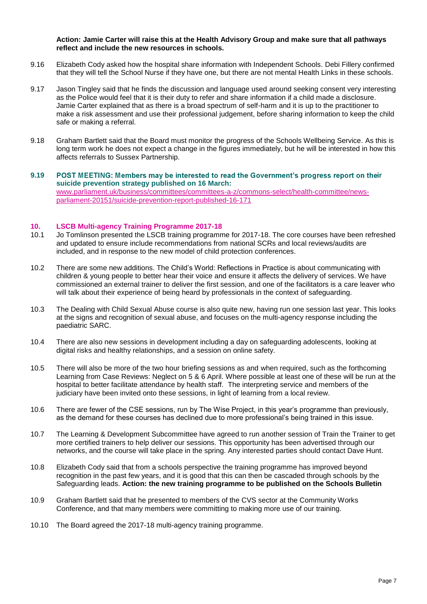**Action: Jamie Carter will raise this at the Health Advisory Group and make sure that all pathways reflect and include the new resources in schools.** 

- 9.16 Elizabeth Cody asked how the hospital share information with Independent Schools. Debi Fillery confirmed that they will tell the School Nurse if they have one, but there are not mental Health Links in these schools.
- 9.17 Jason Tingley said that he finds the discussion and language used around seeking consent very interesting as the Police would feel that it is their duty to refer and share information if a child made a disclosure. Jamie Carter explained that as there is a broad spectrum of self-harm and it is up to the practitioner to make a risk assessment and use their professional judgement, before sharing information to keep the child safe or making a referral.
- 9.18 Graham Bartlett said that the Board must monitor the progress of the Schools Wellbeing Service. As this is long term work he does not expect a change in the figures immediately, but he will be interested in how this affects referrals to Sussex Partnership.
- 9.19 POST MEETING: Members may be interested to read the Government's progress report on their **suicide prevention strategy published on 16 March:** [www.parliament.uk/business/committees/committees-a-z/commons-select/health-committee/news](http://www.parliament.uk/business/committees/committees-a-z/commons-select/health-committee/news-parliament-20151/suicide-prevention-report-published-16-171)[parliament-20151/suicide-prevention-report-published-16-171](http://www.parliament.uk/business/committees/committees-a-z/commons-select/health-committee/news-parliament-20151/suicide-prevention-report-published-16-171)

# **10. LSCB Multi-agency Training Programme 2017-18**

- Jo Tomlinson presented the LSCB training programme for 2017-18. The core courses have been refreshed and updated to ensure include recommendations from national SCRs and local reviews/audits are included, and in response to the new model of child protection conferences.
- 10.2 There are some new additions. The Child's World: Reflections in Practice is about communicating with children & young people to better hear their voice and ensure it affects the delivery of services. We have commissioned an external trainer to deliver the first session, and one of the facilitators is a care leaver who will talk about their experience of being heard by professionals in the context of safeguarding.
- 10.3 The Dealing with Child Sexual Abuse course is also quite new, having run one session last year. This looks at the signs and recognition of sexual abuse, and focuses on the multi-agency response including the paediatric SARC.
- 10.4 There are also new sessions in development including a day on safeguarding adolescents, looking at digital risks and healthy relationships, and a session on online safety.
- 10.5 There will also be more of the two hour briefing sessions as and when required, such as the forthcoming Learning from Case Reviews: Neglect on 5 & 6 April. Where possible at least one of these will be run at the hospital to better facilitate attendance by health staff. The interpreting service and members of the judiciary have been invited onto these sessions, in light of learning from a local review.
- 10.6 There are fewer of the CSE sessions, run by The Wise Project, in this year's programme than previously, as the demand for these courses has declined due to more professional's being trained in this issue.
- 10.7 The Learning & Development Subcommittee have agreed to run another session of Train the Trainer to get more certified trainers to help deliver our sessions. This opportunity has been advertised through our networks, and the course will take place in the spring. Any interested parties should contact Dave Hunt.
- 10.8 Elizabeth Cody said that from a schools perspective the training programme has improved beyond recognition in the past few years, and it is good that this can then be cascaded through schools by the Safeguarding leads. **Action: the new training programme to be published on the Schools Bulletin**
- 10.9 Graham Bartlett said that he presented to members of the CVS sector at the Community Works Conference, and that many members were committing to making more use of our training.
- 10.10 The Board agreed the 2017-18 multi-agency training programme.